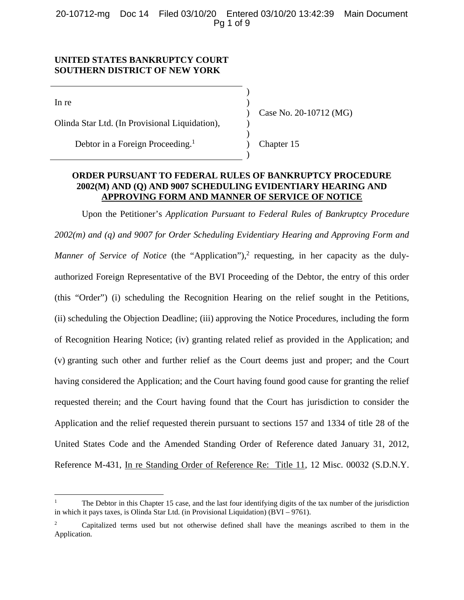20-10712-mg Doc 14 Filed 03/10/20 Entered 03/10/20 13:42:39 Main Document Pg 1 of 9

## **UNITED STATES BANKRUPTCY COURT SOUTHERN DISTRICT OF NEW YORK**

 $)$ 

 $)$ 

 $\ln$  re  $\left( \ln \frac{1}{2} \right)$ 

Olinda Star Ltd. (In Provisional Liquidation), )

Debtor in a Foreign Proceeding. 1

) Case No. 20-10712 (MG)

) Chapter 15

## **ORDER PURSUANT TO FEDERAL RULES OF BANKRUPTCY PROCEDURE 2002(M) AND (Q) AND 9007 SCHEDULING EVIDENTIARY HEARING AND APPROVING FORM AND MANNER OF SERVICE OF NOTICE**

)

Upon the Petitioner's *Application Pursuant to Federal Rules of Bankruptcy Procedure 2002(m) and (q) and 9007 for Order Scheduling Evidentiary Hearing and Approving Form and*  Manner of Service of Notice (the "Application"),<sup>2</sup> requesting, in her capacity as the dulyauthorized Foreign Representative of the BVI Proceeding of the Debtor, the entry of this order (this "Order") (i) scheduling the Recognition Hearing on the relief sought in the Petitions, (ii) scheduling the Objection Deadline; (iii) approving the Notice Procedures, including the form of Recognition Hearing Notice; (iv) granting related relief as provided in the Application; and (v) granting such other and further relief as the Court deems just and proper; and the Court having considered the Application; and the Court having found good cause for granting the relief requested therein; and the Court having found that the Court has jurisdiction to consider the Application and the relief requested therein pursuant to sections 157 and 1334 of title 28 of the United States Code and the Amended Standing Order of Reference dated January 31, 2012, Reference M-431, In re Standing Order of Reference Re: Title 11, 12 Misc. 00032 (S.D.N.Y.

<sup>1</sup> The Debtor in this Chapter 15 case, and the last four identifying digits of the tax number of the jurisdiction in which it pays taxes, is Olinda Star Ltd. (in Provisional Liquidation) (BVI – 9761).

<sup>2</sup> Capitalized terms used but not otherwise defined shall have the meanings ascribed to them in the Application.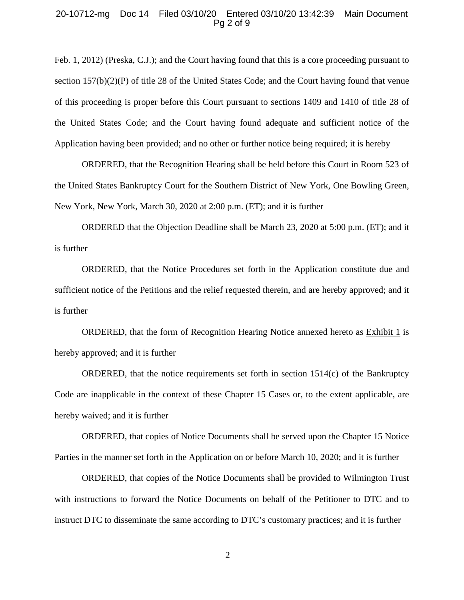#### 20-10712-mg Doc 14 Filed 03/10/20 Entered 03/10/20 13:42:39 Main Document Pg 2 of 9

Feb. 1, 2012) (Preska, C.J.); and the Court having found that this is a core proceeding pursuant to section 157(b)(2)(P) of title 28 of the United States Code; and the Court having found that venue of this proceeding is proper before this Court pursuant to sections 1409 and 1410 of title 28 of the United States Code; and the Court having found adequate and sufficient notice of the Application having been provided; and no other or further notice being required; it is hereby

ORDERED, that the Recognition Hearing shall be held before this Court in Room 523 of the United States Bankruptcy Court for the Southern District of New York, One Bowling Green, New York, New York, March 30, 2020 at 2:00 p.m. (ET); and it is further

ORDERED that the Objection Deadline shall be March 23, 2020 at 5:00 p.m. (ET); and it is further

ORDERED, that the Notice Procedures set forth in the Application constitute due and sufficient notice of the Petitions and the relief requested therein, and are hereby approved; and it is further

ORDERED, that the form of Recognition Hearing Notice annexed hereto as Exhibit 1 is hereby approved; and it is further

ORDERED, that the notice requirements set forth in section  $1514(c)$  of the Bankruptcy Code are inapplicable in the context of these Chapter 15 Cases or, to the extent applicable, are hereby waived; and it is further

ORDERED, that copies of Notice Documents shall be served upon the Chapter 15 Notice Parties in the manner set forth in the Application on or before March 10, 2020; and it is further

ORDERED, that copies of the Notice Documents shall be provided to Wilmington Trust with instructions to forward the Notice Documents on behalf of the Petitioner to DTC and to instruct DTC to disseminate the same according to DTC's customary practices; and it is further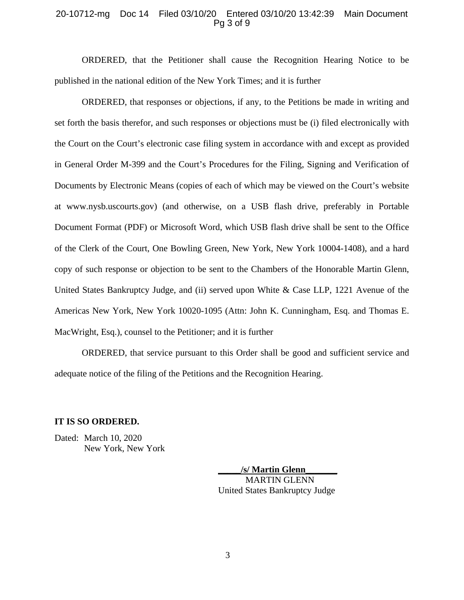#### 20-10712-mg Doc 14 Filed 03/10/20 Entered 03/10/20 13:42:39 Main Document Pg 3 of 9

ORDERED, that the Petitioner shall cause the Recognition Hearing Notice to be published in the national edition of the New York Times; and it is further

ORDERED, that responses or objections, if any, to the Petitions be made in writing and set forth the basis therefor, and such responses or objections must be (i) filed electronically with the Court on the Court's electronic case filing system in accordance with and except as provided in General Order M-399 and the Court's Procedures for the Filing, Signing and Verification of Documents by Electronic Means (copies of each of which may be viewed on the Court's website at www.nysb.uscourts.gov) (and otherwise, on a USB flash drive, preferably in Portable Document Format (PDF) or Microsoft Word, which USB flash drive shall be sent to the Office of the Clerk of the Court, One Bowling Green, New York, New York 10004-1408), and a hard copy of such response or objection to be sent to the Chambers of the Honorable Martin Glenn, United States Bankruptcy Judge, and (ii) served upon White & Case LLP, 1221 Avenue of the Americas New York, New York 10020-1095 (Attn: John K. Cunningham, Esq. and Thomas E. MacWright, Esq.), counsel to the Petitioner; and it is further

ORDERED, that service pursuant to this Order shall be good and sufficient service and adequate notice of the filing of the Petitions and the Recognition Hearing.

## **IT IS SO ORDERED.**

Dated: March 10, 2020 New York, New York

> **\_\_\_\_\_/s/ Martin Glenn\_\_\_\_\_\_\_**  MARTIN GLENN United States Bankruptcy Judge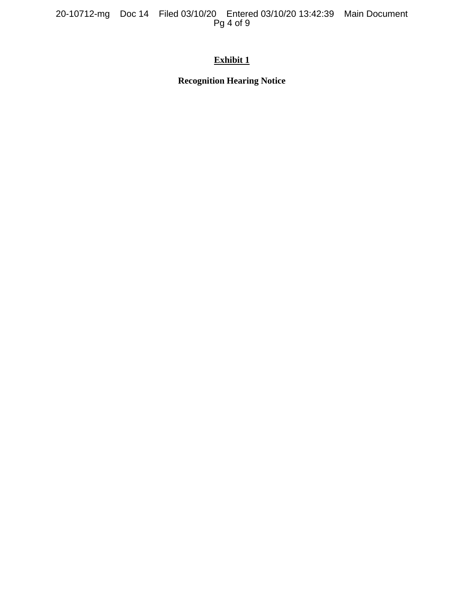20-10712-mg Doc 14 Filed 03/10/20 Entered 03/10/20 13:42:39 Main Document Pg 4 of 9

# **Exhibit 1**

**Recognition Hearing Notice**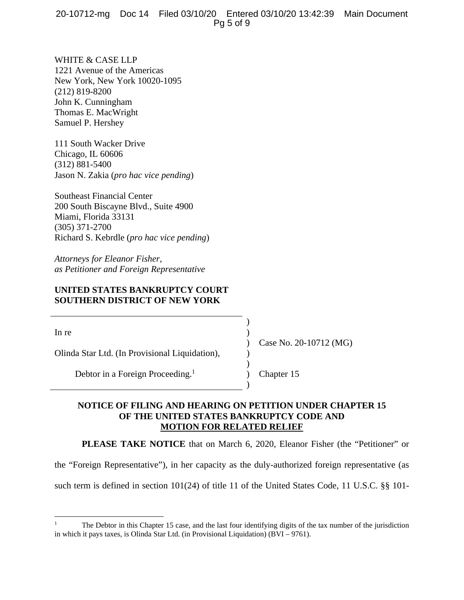## 20-10712-mg Doc 14 Filed 03/10/20 Entered 03/10/20 13:42:39 Main Document Pg 5 of 9

WHITE & CASE LLP 1221 Avenue of the Americas New York, New York 10020-1095 (212) 819-8200 John K. Cunningham Thomas E. MacWright Samuel P. Hershey

111 South Wacker Drive Chicago, IL 60606 (312) 881-5400 Jason N. Zakia (*pro hac vice pending*)

Southeast Financial Center 200 South Biscayne Blvd., Suite 4900 Miami, Florida 33131 (305) 371-2700 Richard S. Kebrdle (*pro hac vice pending*)

*Attorneys for Eleanor Fisher, as Petitioner and Foreign Representative* 

## **UNITED STATES BANKRUPTCY COURT SOUTHERN DISTRICT OF NEW YORK**

 $)$ 

 $)$ 

 $\ln$  re  $\left( \ln \frac{1}{2} \right)$ 

Olinda Star Ltd. (In Provisional Liquidation), )

Debtor in a Foreign Proceeding. 1

) Case No. 20-10712 (MG)

) Chapter 15

## **NOTICE OF FILING AND HEARING ON PETITION UNDER CHAPTER 15 OF THE UNITED STATES BANKRUPTCY CODE AND MOTION FOR RELATED RELIEF**

**PLEASE TAKE NOTICE** that on March 6, 2020, Eleanor Fisher (the "Petitioner" or

)

the "Foreign Representative"), in her capacity as the duly-authorized foreign representative (as

such term is defined in section 101(24) of title 11 of the United States Code, 11 U.S.C. §§ 101-

<sup>1</sup> The Debtor in this Chapter 15 case, and the last four identifying digits of the tax number of the jurisdiction in which it pays taxes, is Olinda Star Ltd. (in Provisional Liquidation) (BVI – 9761).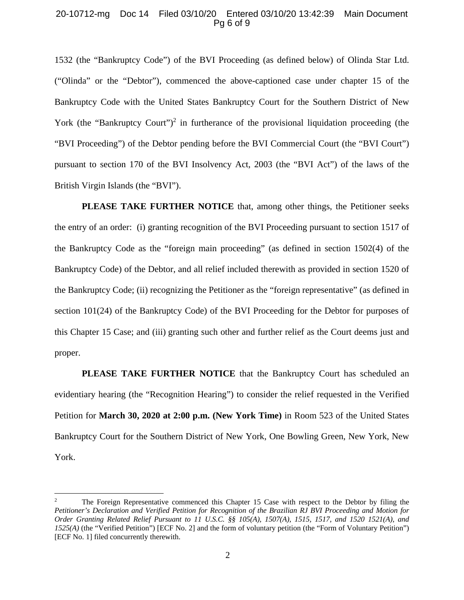### 20-10712-mg Doc 14 Filed 03/10/20 Entered 03/10/20 13:42:39 Main Document Pg 6 of 9

1532 (the "Bankruptcy Code") of the BVI Proceeding (as defined below) of Olinda Star Ltd. ("Olinda" or the "Debtor"), commenced the above-captioned case under chapter 15 of the Bankruptcy Code with the United States Bankruptcy Court for the Southern District of New York (the "Bankruptcy Court")<sup>2</sup> in furtherance of the provisional liquidation proceeding (the "BVI Proceeding") of the Debtor pending before the BVI Commercial Court (the "BVI Court") pursuant to section 170 of the BVI Insolvency Act, 2003 (the "BVI Act") of the laws of the British Virgin Islands (the "BVI").

**PLEASE TAKE FURTHER NOTICE** that, among other things, the Petitioner seeks the entry of an order: (i) granting recognition of the BVI Proceeding pursuant to section 1517 of the Bankruptcy Code as the "foreign main proceeding" (as defined in section 1502(4) of the Bankruptcy Code) of the Debtor, and all relief included therewith as provided in section 1520 of the Bankruptcy Code; (ii) recognizing the Petitioner as the "foreign representative" (as defined in section 101(24) of the Bankruptcy Code) of the BVI Proceeding for the Debtor for purposes of this Chapter 15 Case; and (iii) granting such other and further relief as the Court deems just and proper.

**PLEASE TAKE FURTHER NOTICE** that the Bankruptcy Court has scheduled an evidentiary hearing (the "Recognition Hearing") to consider the relief requested in the Verified Petition for **March 30, 2020 at 2:00 p.m. (New York Time)** in Room 523 of the United States Bankruptcy Court for the Southern District of New York, One Bowling Green, New York, New York.

<sup>2</sup> The Foreign Representative commenced this Chapter 15 Case with respect to the Debtor by filing the *Petitioner's Declaration and Verified Petition for Recognition of the Brazilian RJ BVI Proceeding and Motion for Order Granting Related Relief Pursuant to 11 U.S.C. §§ 105(A), 1507(A), 1515, 1517, and 1520 1521(A), and 1525(A)* (the "Verified Petition") [ECF No. 2] and the form of voluntary petition (the "Form of Voluntary Petition") [ECF No. 1] filed concurrently therewith.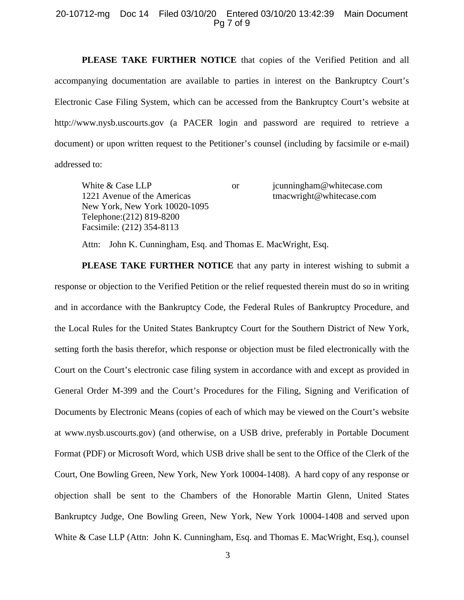## 20-10712-mg Doc 14 Filed 03/10/20 Entered 03/10/20 13:42:39 Main Document Pg 7 of 9

**PLEASE TAKE FURTHER NOTICE** that copies of the Verified Petition and all accompanying documentation are available to parties in interest on the Bankruptcy Court's Electronic Case Filing System, which can be accessed from the Bankruptcy Court's website at http://www.nysb.uscourts.gov (a PACER login and password are required to retrieve a document) or upon written request to the Petitioner's counsel (including by facsimile or e-mail) addressed to:

White & Case LLP or junningham@whitecase.com 1221 Avenue of the Americas tmacwright@whitecase.com New York, New York 10020-1095 Telephone:(212) 819-8200 Facsimile: (212) 354-8113

Attn: John K. Cunningham, Esq. and Thomas E. MacWright, Esq.

**PLEASE TAKE FURTHER NOTICE** that any party in interest wishing to submit a response or objection to the Verified Petition or the relief requested therein must do so in writing and in accordance with the Bankruptcy Code, the Federal Rules of Bankruptcy Procedure, and the Local Rules for the United States Bankruptcy Court for the Southern District of New York, setting forth the basis therefor, which response or objection must be filed electronically with the Court on the Court's electronic case filing system in accordance with and except as provided in General Order M-399 and the Court's Procedures for the Filing, Signing and Verification of Documents by Electronic Means (copies of each of which may be viewed on the Court's website at www.nysb.uscourts.gov) (and otherwise, on a USB drive, preferably in Portable Document Format (PDF) or Microsoft Word, which USB drive shall be sent to the Office of the Clerk of the Court, One Bowling Green, New York, New York 10004-1408). A hard copy of any response or objection shall be sent to the Chambers of the Honorable Martin Glenn, United States Bankruptcy Judge, One Bowling Green, New York, New York 10004-1408 and served upon White & Case LLP (Attn: John K. Cunningham, Esq. and Thomas E. MacWright, Esq.), counsel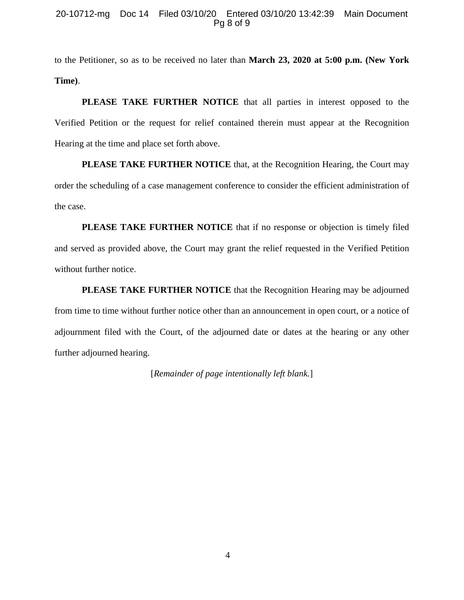## 20-10712-mg Doc 14 Filed 03/10/20 Entered 03/10/20 13:42:39 Main Document Pg 8 of 9

to the Petitioner, so as to be received no later than **March 23, 2020 at 5:00 p.m. (New York Time)**.

**PLEASE TAKE FURTHER NOTICE** that all parties in interest opposed to the Verified Petition or the request for relief contained therein must appear at the Recognition Hearing at the time and place set forth above.

**PLEASE TAKE FURTHER NOTICE** that, at the Recognition Hearing, the Court may order the scheduling of a case management conference to consider the efficient administration of the case.

**PLEASE TAKE FURTHER NOTICE** that if no response or objection is timely filed and served as provided above, the Court may grant the relief requested in the Verified Petition without further notice.

**PLEASE TAKE FURTHER NOTICE** that the Recognition Hearing may be adjourned from time to time without further notice other than an announcement in open court, or a notice of adjournment filed with the Court, of the adjourned date or dates at the hearing or any other further adjourned hearing.

[*Remainder of page intentionally left blank.*]